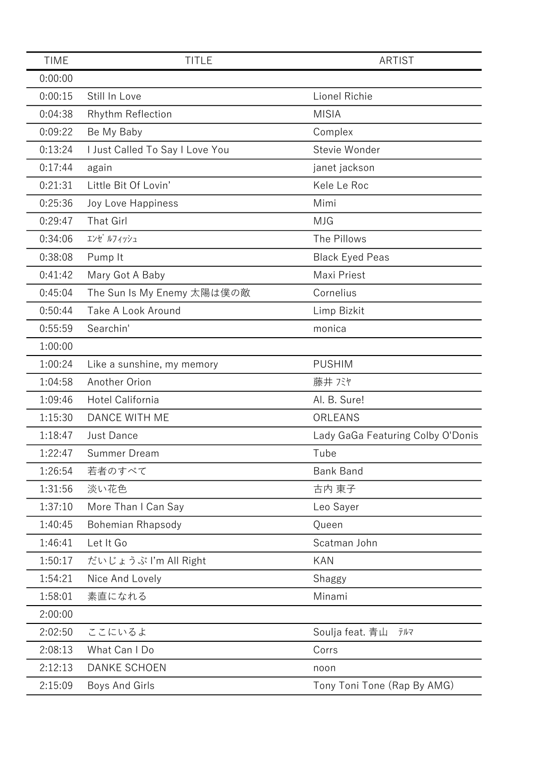| <b>TIME</b> | <b>TITLE</b>                    | <b>ARTIST</b>                     |
|-------------|---------------------------------|-----------------------------------|
| 0:00:00     |                                 |                                   |
| 0:00:15     | Still In Love                   | Lionel Richie                     |
| 0:04:38     | Rhythm Reflection               | <b>MISIA</b>                      |
| 0:09:22     | Be My Baby                      | Complex                           |
| 0:13:24     | I Just Called To Say I Love You | Stevie Wonder                     |
| 0:17:44     | again                           | janet jackson                     |
| 0:21:31     | Little Bit Of Lovin'            | Kele Le Roc                       |
| 0:25:36     | Joy Love Happiness              | Mimi                              |
| 0:29:47     | <b>That Girl</b>                | <b>MJG</b>                        |
| 0:34:06     | エンゼ ルフィッシュ                      | The Pillows                       |
| 0:38:08     | Pump It                         | <b>Black Eyed Peas</b>            |
| 0:41:42     | Mary Got A Baby                 | Maxi Priest                       |
| 0:45:04     | The Sun Is My Enemy 太陽は僕の敵      | Cornelius                         |
| 0:50:44     | Take A Look Around              | Limp Bizkit                       |
| 0:55:59     | Searchin'                       | monica                            |
| 1:00:00     |                                 |                                   |
| 1:00:24     | Like a sunshine, my memory      | <b>PUSHIM</b>                     |
| 1:04:58     | Another Orion                   | 藤井 バヤ                             |
| 1:09:46     | Hotel California                | Al. B. Sure!                      |
| 1:15:30     | DANCE WITH ME                   | ORLEANS                           |
| 1:18:47     | <b>Just Dance</b>               | Lady GaGa Featuring Colby O'Donis |
| 1:22:47     | Summer Dream                    | Tube                              |
| 1:26:54     | 若者のすべて                          | <b>Bank Band</b>                  |
| 1:31:56     | 淡い花色                            | 古内 東子                             |
| 1:37:10     | More Than I Can Say             | Leo Sayer                         |
| 1:40:45     | Bohemian Rhapsody               | Queen                             |
| 1:46:41     | Let It Go                       | Scatman John                      |
| 1:50:17     | だいじょうぶ I'm All Right            | <b>KAN</b>                        |
| 1:54:21     | Nice And Lovely                 | Shaggy                            |
| 1:58:01     | 素直になれる                          | Minami                            |
| 2:00:00     |                                 |                                   |
| 2:02:50     | ここにいるよ                          | Soulja feat. 青山<br>テルマ            |
| 2:08:13     | What Can I Do                   | Corrs                             |
| 2:12:13     | <b>DANKE SCHOEN</b>             | noon                              |
| 2:15:09     | Boys And Girls                  | Tony Toni Tone (Rap By AMG)       |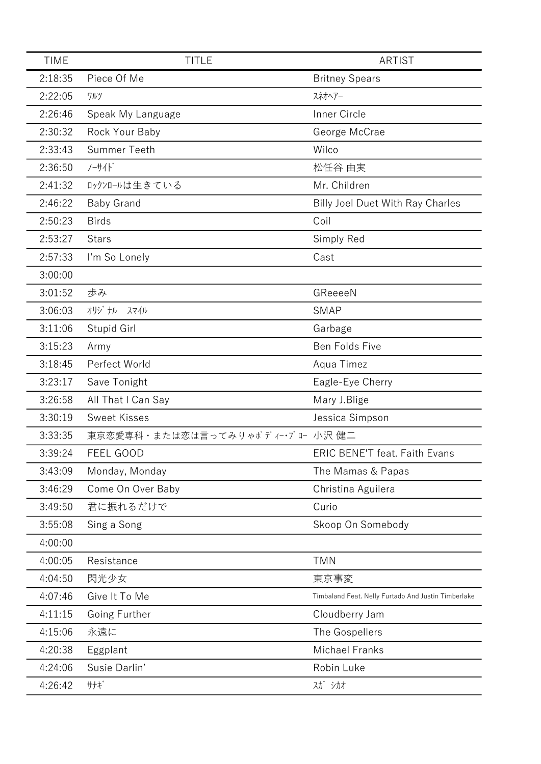| <b>TIME</b> | <b>TITLE</b>                     | <b>ARTIST</b>                                       |
|-------------|----------------------------------|-----------------------------------------------------|
| 2:18:35     | Piece Of Me                      | <b>Britney Spears</b>                               |
| 2:22:05     | ワルツ                              | スネオヘアー                                              |
| 2:26:46     | Speak My Language                | Inner Circle                                        |
| 2:30:32     | Rock Your Baby                   | George McCrae                                       |
| 2:33:43     | <b>Summer Teeth</b>              | Wilco                                               |
| 2:36:50     | $7 - \frac{4}{5}$                | 松任谷 由実                                              |
| 2:41:32     | ロックンロールは生きている                    | Mr. Children                                        |
| 2:46:22     | <b>Baby Grand</b>                | <b>Billy Joel Duet With Ray Charles</b>             |
| 2:50:23     | <b>Birds</b>                     | Coil                                                |
| 2:53:27     | <b>Stars</b>                     | Simply Red                                          |
| 2:57:33     | I'm So Lonely                    | Cast                                                |
| 3:00:00     |                                  |                                                     |
| 3:01:52     | 歩み                               | GReeeeN                                             |
| 3:06:03     | オリジナル<br>スマイル                    | <b>SMAP</b>                                         |
| 3:11:06     | Stupid Girl                      | Garbage                                             |
| 3:15:23     | Army                             | Ben Folds Five                                      |
| 3:18:45     | Perfect World                    | Aqua Timez                                          |
| 3:23:17     | Save Tonight                     | Eagle-Eye Cherry                                    |
| 3:26:58     | All That I Can Say               | Mary J.Blige                                        |
| 3:30:19     | <b>Sweet Kisses</b>              | Jessica Simpson                                     |
| 3:33:35     | 東京恋愛専科・または恋は言ってみりゃボディー・ブロー 小沢 健二 |                                                     |
| 3:39:24     | FEEL GOOD                        | <b>ERIC BENE'T feat. Faith Evans</b>                |
| 3:43:09     | Monday, Monday                   | The Mamas & Papas                                   |
| 3:46:29     | Come On Over Baby                | Christina Aguilera                                  |
| 3:49:50     | 君に振れるだけで                         | Curio                                               |
| 3:55:08     | Sing a Song                      | Skoop On Somebody                                   |
| 4:00:00     |                                  |                                                     |
| 4:00:05     | Resistance                       | <b>TMN</b>                                          |
| 4:04:50     | 閃光少女                             | 東京事変                                                |
| 4:07:46     | Give It To Me                    | Timbaland Feat. Nelly Furtado And Justin Timberlake |
| 4:11:15     | Going Further                    | Cloudberry Jam                                      |
| 4:15:06     | 永遠に                              | The Gospellers                                      |
| 4:20:38     | Eggplant                         | Michael Franks                                      |
| 4:24:06     | Susie Darlin'                    | Robin Luke                                          |
| 4:26:42     | サナギ                              | 入力 シカオ                                              |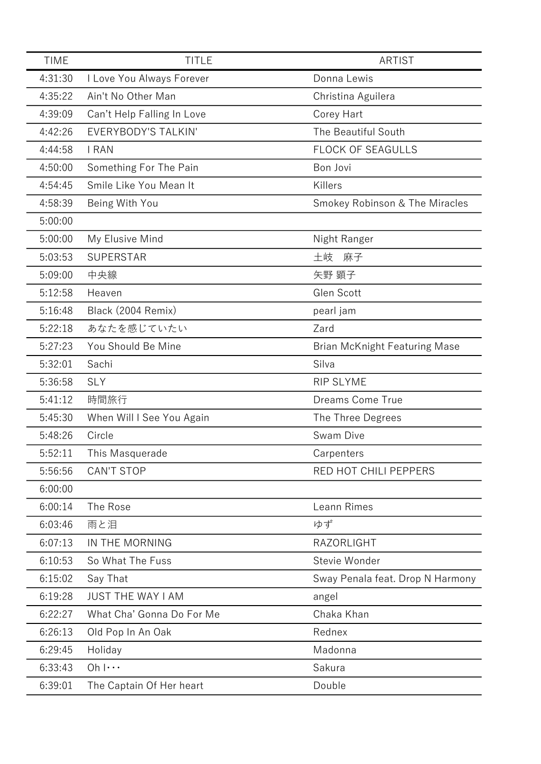| <b>TIME</b> | <b>TITLE</b>               | <b>ARTIST</b>                        |
|-------------|----------------------------|--------------------------------------|
| 4:31:30     | I Love You Always Forever  | Donna Lewis                          |
| 4:35:22     | Ain't No Other Man         | Christina Aguilera                   |
| 4:39:09     | Can't Help Falling In Love | Corey Hart                           |
| 4:42:26     | EVERYBODY'S TALKIN'        | The Beautiful South                  |
| 4:44:58     | I RAN                      | <b>FLOCK OF SEAGULLS</b>             |
| 4:50:00     | Something For The Pain     | Bon Jovi                             |
| 4:54:45     | Smile Like You Mean It     | Killers                              |
| 4:58:39     | Being With You             | Smokey Robinson & The Miracles       |
| 5:00:00     |                            |                                      |
| 5:00:00     | My Elusive Mind            | Night Ranger                         |
| 5:03:53     | <b>SUPERSTAR</b>           | 土岐<br>麻子                             |
| 5:09:00     | 中央線                        | 矢野 顕子                                |
| 5:12:58     | Heaven                     | Glen Scott                           |
| 5:16:48     | Black (2004 Remix)         | pearl jam                            |
| 5:22:18     | あなたを感じていたい                 | Zard                                 |
| 5:27:23     | You Should Be Mine         | <b>Brian McKnight Featuring Mase</b> |
| 5:32:01     | Sachi                      | Silva                                |
| 5:36:58     | <b>SLY</b>                 | <b>RIP SLYME</b>                     |
| 5:41:12     | 時間旅行                       | Dreams Come True                     |
| 5:45:30     | When Will I See You Again  | The Three Degrees                    |
| 5:48:26     | Circle                     | Swam Dive                            |
| 5:52:11     | This Masquerade            | Carpenters                           |
| 5:56:56     | <b>CAN'T STOP</b>          | <b>RED HOT CHILI PEPPERS</b>         |
| 6:00:00     |                            |                                      |
| 6:00:14     | The Rose                   | Leann Rimes                          |
| 6:03:46     | 雨と泪                        | ゆず                                   |
| 6:07:13     | IN THE MORNING             | <b>RAZORLIGHT</b>                    |
| 6:10:53     | So What The Fuss           | Stevie Wonder                        |
| 6:15:02     | Say That                   | Sway Penala feat. Drop N Harmony     |
| 6:19:28     | <b>JUST THE WAY I AM</b>   | angel                                |
| 6:22:27     | What Cha' Gonna Do For Me  | Chaka Khan                           |
| 6:26:13     | Old Pop In An Oak          | Rednex                               |
| 6:29:45     | Holiday                    | Madonna                              |
| 6:33:43     | $Oh \cdots$                | Sakura                               |
| 6:39:01     | The Captain Of Her heart   | Double                               |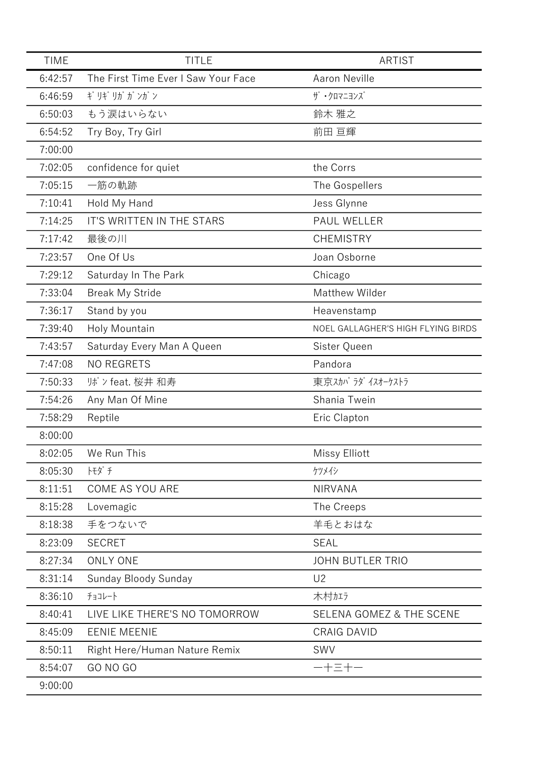| <b>TIME</b> | <b>TITLE</b>                        | <b>ARTIST</b>                       |
|-------------|-------------------------------------|-------------------------------------|
| 6:42:57     | The First Time Ever I Saw Your Face | <b>Aaron Neville</b>                |
| 6:46:59     | ギリギリガガンガン                           | ザ ・クロマニヨンズ                          |
| 6:50:03     | もう涙はいらない                            | 鈴木 雅之                               |
| 6:54:52     | Try Boy, Try Girl                   | 前田 亘輝                               |
| 7:00:00     |                                     |                                     |
| 7:02:05     | confidence for quiet                | the Corrs                           |
| 7:05:15     | 一筋の軌跡                               | The Gospellers                      |
| 7:10:41     | Hold My Hand                        | Jess Glynne                         |
| 7:14:25     | IT'S WRITTEN IN THE STARS           | PAUL WELLER                         |
| 7:17:42     | 最後の川                                | <b>CHEMISTRY</b>                    |
| 7:23:57     | One Of Us                           | Joan Osborne                        |
| 7:29:12     | Saturday In The Park                | Chicago                             |
| 7:33:04     | <b>Break My Stride</b>              | <b>Matthew Wilder</b>               |
| 7:36:17     | Stand by you                        | Heavenstamp                         |
| 7:39:40     | Holy Mountain                       | NOEL GALLAGHER'S HIGH FLYING BIRDS  |
| 7:43:57     | Saturday Every Man A Queen          | Sister Queen                        |
| 7:47:08     | <b>NO REGRETS</b>                   | Pandora                             |
| 7:50:33     | リボン feat. 桜井 和寿                     | 東京スカパラダイスオーケストラ                     |
| 7:54:26     | Any Man Of Mine                     | Shania Twein                        |
| 7:58:29     | Reptile                             | Eric Clapton                        |
| 8:00:00     |                                     |                                     |
| 8:02:05     | We Run This                         | Missy Elliott                       |
| 8:05:30     | トモダ チ                               | ケツメイシ                               |
| 8:11:51     | COME AS YOU ARE                     | <b>NIRVANA</b>                      |
| 8:15:28     | Lovemagic                           | The Creeps                          |
| 8:18:38     | 手をつないで                              | 羊毛とおはな                              |
| 8:23:09     | <b>SECRET</b>                       | <b>SEAL</b>                         |
| 8:27:34     | <b>ONLY ONE</b>                     | JOHN BUTLER TRIO                    |
| 8:31:14     | Sunday Bloody Sunday                | U <sub>2</sub>                      |
| 8:36:10     | チョコレート                              | 木村加う                                |
| 8:40:41     | LIVE LIKE THERE'S NO TOMORROW       | <b>SELENA GOMEZ &amp; THE SCENE</b> |
| 8:45:09     | <b>EENIE MEENIE</b>                 | <b>CRAIG DAVID</b>                  |
| 8:50:11     | Right Here/Human Nature Remix       | <b>SWV</b>                          |
| 8:54:07     | GO NO GO                            | 一十三十一                               |
| 9:00:00     |                                     |                                     |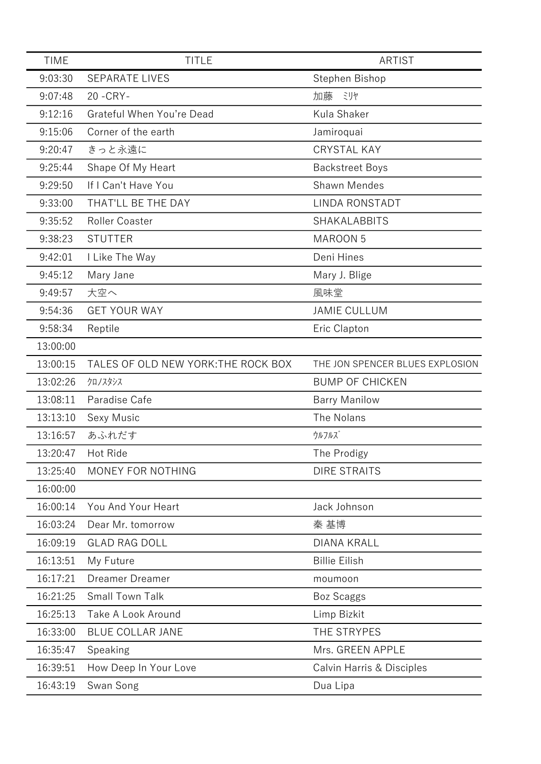| <b>TIME</b> | <b>TITLE</b>                        | <b>ARTIST</b>                   |
|-------------|-------------------------------------|---------------------------------|
| 9:03:30     | <b>SEPARATE LIVES</b>               | Stephen Bishop                  |
| 9:07:48     | 20 - CRY -                          | 加藤<br>ミリヤ                       |
| 9:12:16     | Grateful When You're Dead           | Kula Shaker                     |
| 9:15:06     | Corner of the earth                 | Jamiroquai                      |
| 9:20:47     | きっと永遠に                              | <b>CRYSTAL KAY</b>              |
| 9:25:44     | Shape Of My Heart                   | <b>Backstreet Boys</b>          |
| 9:29:50     | If I Can't Have You                 | Shawn Mendes                    |
| 9:33:00     | THAT'LL BE THE DAY                  | <b>LINDA RONSTADT</b>           |
| 9:35:52     | Roller Coaster                      | SHAKALABBITS                    |
| 9:38:23     | <b>STUTTER</b>                      | <b>MAROON 5</b>                 |
| 9:42:01     | I Like The Way                      | Deni Hines                      |
| 9:45:12     | Mary Jane                           | Mary J. Blige                   |
| 9:49:57     | 大空へ                                 | 風味堂                             |
| 9:54:36     | <b>GET YOUR WAY</b>                 | <b>JAMIE CULLUM</b>             |
| 9:58:34     | Reptile                             | Eric Clapton                    |
| 13:00:00    |                                     |                                 |
| 13:00:15    | TALES OF OLD NEW YORK: THE ROCK BOX | THE JON SPENCER BLUES EXPLOSION |
| 13:02:26    | クロノスタシス                             | <b>BUMP OF CHICKEN</b>          |
| 13:08:11    | Paradise Cafe                       | <b>Barry Manilow</b>            |
| 13:13:10    | Sexy Music                          | The Nolans                      |
| 13:16:57    | あふれだす                               | ウルフルズ                           |
| 13:20:47    | Hot Ride                            | The Prodigy                     |
| 13:25:40    | MONEY FOR NOTHING                   | <b>DIRE STRAITS</b>             |
| 16:00:00    |                                     |                                 |
| 16:00:14    | You And Your Heart                  | Jack Johnson                    |
| 16:03:24    | Dear Mr. tomorrow                   | 秦 基博                            |
| 16:09:19    | <b>GLAD RAG DOLL</b>                | <b>DIANA KRALL</b>              |
| 16:13:51    | My Future                           | <b>Billie Eilish</b>            |
| 16:17:21    | <b>Dreamer Dreamer</b>              | moumoon                         |
| 16:21:25    | <b>Small Town Talk</b>              | Boz Scaggs                      |
| 16:25:13    | Take A Look Around                  | Limp Bizkit                     |
| 16:33:00    | <b>BLUE COLLAR JANE</b>             | THE STRYPES                     |
| 16:35:47    | Speaking                            | Mrs. GREEN APPLE                |
| 16:39:51    | How Deep In Your Love               | Calvin Harris & Disciples       |
| 16:43:19    | Swan Song                           | Dua Lipa                        |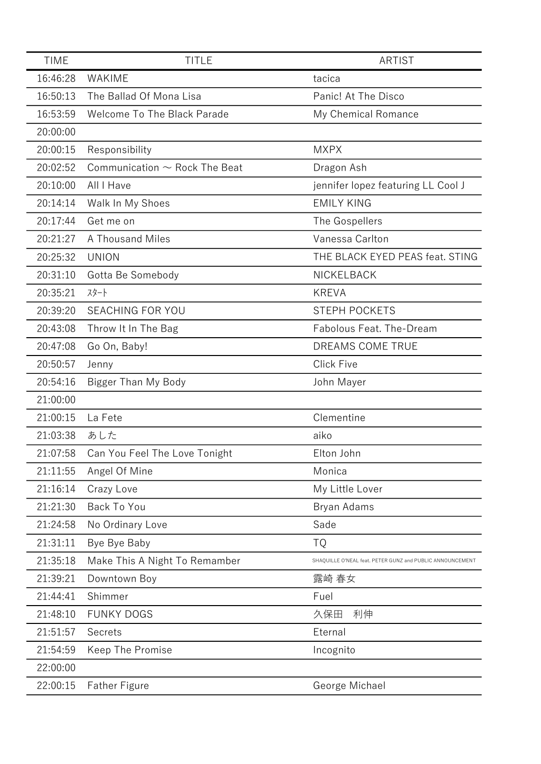| <b>TIME</b> | <b>TITLE</b>                       | <b>ARTIST</b>                                             |
|-------------|------------------------------------|-----------------------------------------------------------|
| 16:46:28    | <b>WAKIME</b>                      | tacica                                                    |
| 16:50:13    | The Ballad Of Mona Lisa            | Panic! At The Disco                                       |
| 16:53:59    | Welcome To The Black Parade        | My Chemical Romance                                       |
| 20:00:00    |                                    |                                                           |
| 20:00:15    | Responsibility                     | <b>MXPX</b>                                               |
| 20:02:52    | Communication $\sim$ Rock The Beat | Dragon Ash                                                |
| 20:10:00    | All I Have                         | jennifer lopez featuring LL Cool J                        |
| 20:14:14    | Walk In My Shoes                   | <b>EMILY KING</b>                                         |
| 20:17:44    | Get me on                          | The Gospellers                                            |
| 20:21:27    | A Thousand Miles                   | Vanessa Carlton                                           |
| 20:25:32    | <b>UNION</b>                       | THE BLACK EYED PEAS feat. STING                           |
| 20:31:10    | Gotta Be Somebody                  | NICKELBACK                                                |
| 20:35:21    | スタート                               | <b>KREVA</b>                                              |
| 20:39:20    | <b>SEACHING FOR YOU</b>            | <b>STEPH POCKETS</b>                                      |
| 20:43:08    | Throw It In The Bag                | <b>Fabolous Feat. The-Dream</b>                           |
| 20:47:08    | Go On, Baby!                       | DREAMS COME TRUE                                          |
| 20:50:57    | Jenny                              | <b>Click Five</b>                                         |
| 20:54:16    | Bigger Than My Body                | John Mayer                                                |
| 21:00:00    |                                    |                                                           |
| 21:00:15    | La Fete                            | Clementine                                                |
| 21:03:38    | あした                                | aiko                                                      |
| 21:07:58    | Can You Feel The Love Tonight      | Elton John                                                |
| 21:11:55    | Angel Of Mine                      | Monica                                                    |
| 21:16:14    | Crazy Love                         | My Little Lover                                           |
| 21:21:30    | Back To You                        | Bryan Adams                                               |
| 21:24:58    | No Ordinary Love                   | Sade                                                      |
| 21:31:11    | Bye Bye Baby                       | ТQ                                                        |
| 21:35:18    | Make This A Night To Remamber      | SHAQUILLE O'NEAL feat. PETER GUNZ and PUBLIC ANNOUNCEMENT |
| 21:39:21    | Downtown Boy                       | 露崎 春女                                                     |
| 21:44:41    | Shimmer                            | Fuel                                                      |
| 21:48:10    | <b>FUNKY DOGS</b>                  | 利伸<br>久保田                                                 |
| 21:51:57    | Secrets                            | Eternal                                                   |
| 21:54:59    | Keep The Promise                   | Incognito                                                 |
| 22:00:00    |                                    |                                                           |
| 22:00:15    | <b>Father Figure</b>               | George Michael                                            |